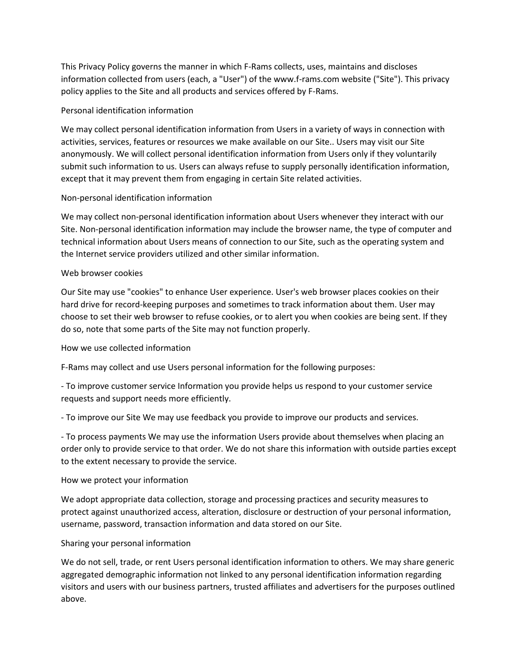This Privacy Policy governs the manner in which F-Rams collects, uses, maintains and discloses information collected from users (each, a "User") of the www.f-rams.com website ("Site"). This privacy policy applies to the Site and all products and services offered by F-Rams.

### Personal identification information

We may collect personal identification information from Users in a variety of ways in connection with activities, services, features or resources we make available on our Site.. Users may visit our Site anonymously. We will collect personal identification information from Users only if they voluntarily submit such information to us. Users can always refuse to supply personally identification information, except that it may prevent them from engaging in certain Site related activities.

# Non-personal identification information

We may collect non-personal identification information about Users whenever they interact with our Site. Non-personal identification information may include the browser name, the type of computer and technical information about Users means of connection to our Site, such as the operating system and the Internet service providers utilized and other similar information.

### Web browser cookies

Our Site may use "cookies" to enhance User experience. User's web browser places cookies on their hard drive for record-keeping purposes and sometimes to track information about them. User may choose to set their web browser to refuse cookies, or to alert you when cookies are being sent. If they do so, note that some parts of the Site may not function properly.

#### How we use collected information

F-Rams may collect and use Users personal information for the following purposes:

- To improve customer service Information you provide helps us respond to your customer service requests and support needs more efficiently.

- To improve our Site We may use feedback you provide to improve our products and services.

- To process payments We may use the information Users provide about themselves when placing an order only to provide service to that order. We do not share this information with outside parties except to the extent necessary to provide the service.

#### How we protect your information

We adopt appropriate data collection, storage and processing practices and security measures to protect against unauthorized access, alteration, disclosure or destruction of your personal information, username, password, transaction information and data stored on our Site.

#### Sharing your personal information

We do not sell, trade, or rent Users personal identification information to others. We may share generic aggregated demographic information not linked to any personal identification information regarding visitors and users with our business partners, trusted affiliates and advertisers for the purposes outlined above.